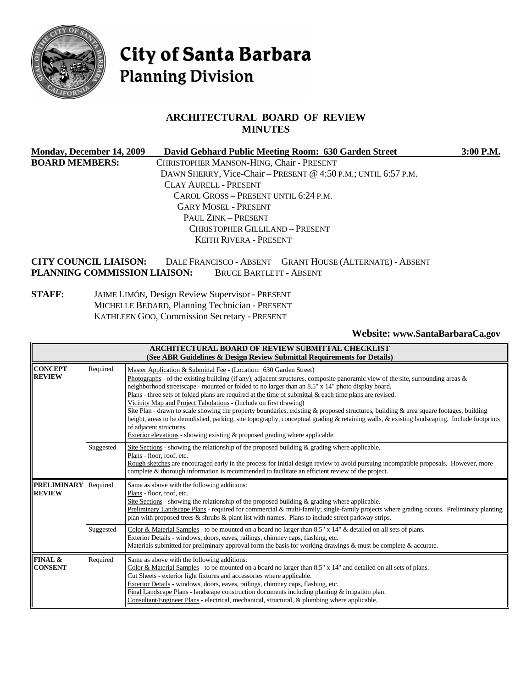

# City of Santa Barbara **Planning Division**

## **ARCHITECTURAL BOARD OF REVIEW MINUTES**

| Monday, December 14, 2009    |                                          | David Gebhard Public Meeting Room: 630 Garden Street           | 3:00 P.M. |
|------------------------------|------------------------------------------|----------------------------------------------------------------|-----------|
| <b>BOARD MEMBERS:</b>        | CHRISTOPHER MANSON-HING, Chair - PRESENT |                                                                |           |
|                              |                                          | DAWN SHERRY, Vice-Chair – PRESENT @ 4:50 P.M.; UNTIL 6:57 P.M. |           |
|                              | CLAY AURELL - PRESENT                    |                                                                |           |
|                              | CAROL GROSS - PRESENT UNTIL 6:24 P.M.    |                                                                |           |
|                              | <b>GARY MOSEL - PRESENT</b>              |                                                                |           |
|                              | PAUL ZINK - PRESENT                      |                                                                |           |
|                              | <b>CHRISTOPHER GILLILAND - PRESENT</b>   |                                                                |           |
|                              | <b>KEITH RIVERA - PRESENT</b>            |                                                                |           |
| <b>CITY COUNCIL LIAISON:</b> |                                          | DALE FRANCISCO - ABSENT GRANT HOUSE (ALTERNATE) - ABSENT       |           |
| PLANNING COMMISSION LIAISON: | <b>BRUCE BARTLETT - ABSENT</b>           |                                                                |           |

#### **STAFF:** JAIME LIMÓN, Design Review Supervisor - PRESENT MICHELLE BEDARD, Planning Technician - PRESENT KATHLEEN GOO, Commission Secretary - PRESENT

#### **Website: [www.SantaBarbaraCa.gov](http://www.santabarbaraca.gov/)**

|                                     |           | ARCHITECTURAL BOARD OF REVIEW SUBMITTAL CHECKLIST<br>(See ABR Guidelines & Design Review Submittal Requirements for Details)                                                                                                                                                                                                                                                                                                                                                                                                                                                                                                                                                                                                                                                                                                                                                                         |
|-------------------------------------|-----------|------------------------------------------------------------------------------------------------------------------------------------------------------------------------------------------------------------------------------------------------------------------------------------------------------------------------------------------------------------------------------------------------------------------------------------------------------------------------------------------------------------------------------------------------------------------------------------------------------------------------------------------------------------------------------------------------------------------------------------------------------------------------------------------------------------------------------------------------------------------------------------------------------|
| <b>CONCEPT</b><br><b>REVIEW</b>     | Required  | Master Application & Submittal Fee - (Location: 630 Garden Street)<br>Photographs - of the existing building (if any), adjacent structures, composite panoramic view of the site, surrounding areas $\&$<br>neighborhood streetscape - mounted or folded to no larger than an 8.5" x 14" photo display board.<br>Plans - three sets of folded plans are required at the time of submittal $\&$ each time plans are revised.<br>Vicinity Map and Project Tabulations - (Include on first drawing)<br>Site Plan - drawn to scale showing the property boundaries, existing & proposed structures, building & area square footages, building<br>height, areas to be demolished, parking, site topography, conceptual grading & retaining walls, & existing landscaping. Include footprints<br>of adjacent structures.<br>Exterior elevations - showing existing $\&$ proposed grading where applicable. |
|                                     | Suggested | Site Sections - showing the relationship of the proposed building $\&$ grading where applicable.<br>Plans - floor, roof, etc.<br>Rough sketches are encouraged early in the process for initial design review to avoid pursuing incompatible proposals. However, more<br>complete & thorough information is recommended to facilitate an efficient review of the project.                                                                                                                                                                                                                                                                                                                                                                                                                                                                                                                            |
| <b>PRELIMINARY</b><br><b>REVIEW</b> | Required  | Same as above with the following additions:<br>Plans - floor, roof, etc.<br>Site Sections - showing the relationship of the proposed building $\&$ grading where applicable.<br>Preliminary Landscape Plans - required for commercial & multi-family; single-family projects where grading occurs. Preliminary planting<br>plan with proposed trees & shrubs & plant list with names. Plans to include street parkway strips.                                                                                                                                                                                                                                                                                                                                                                                                                                                                        |
|                                     | Suggested | Color & Material Samples - to be mounted on a board no larger than $8.5" \times 14"$ & detailed on all sets of plans.<br>Exterior Details - windows, doors, eaves, railings, chimney caps, flashing, etc.<br>Materials submitted for preliminary approval form the basis for working drawings & must be complete & accurate.                                                                                                                                                                                                                                                                                                                                                                                                                                                                                                                                                                         |
| FINAL &<br><b>CONSENT</b>           | Required  | Same as above with the following additions:<br>Color & Material Samples - to be mounted on a board no larger than 8.5" x 14" and detailed on all sets of plans.<br>Cut Sheets - exterior light fixtures and accessories where applicable.<br>Exterior Details - windows, doors, eaves, railings, chimney caps, flashing, etc.<br>Final Landscape Plans - landscape construction documents including planting $&$ irrigation plan.<br>Consultant/Engineer Plans - electrical, mechanical, structural, & plumbing where applicable.                                                                                                                                                                                                                                                                                                                                                                    |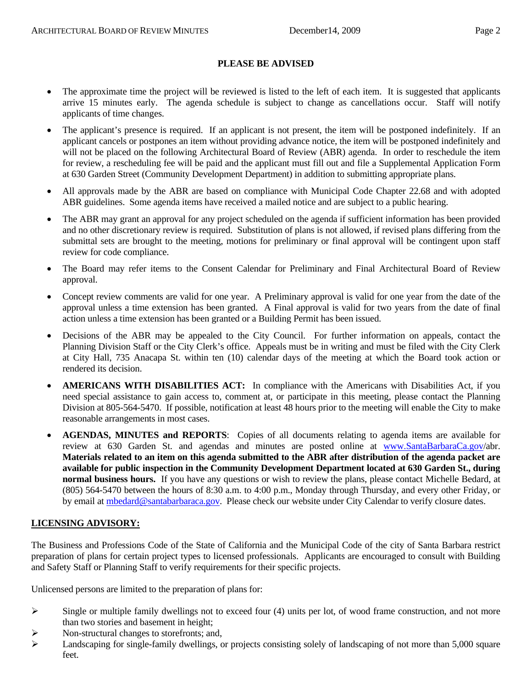#### **PLEASE BE ADVISED**

- The approximate time the project will be reviewed is listed to the left of each item. It is suggested that applicants arrive 15 minutes early. The agenda schedule is subject to change as cancellations occur. Staff will notify applicants of time changes.
- The applicant's presence is required. If an applicant is not present, the item will be postponed indefinitely. If an applicant cancels or postpones an item without providing advance notice, the item will be postponed indefinitely and will not be placed on the following Architectural Board of Review (ABR) agenda. In order to reschedule the item for review, a rescheduling fee will be paid and the applicant must fill out and file a Supplemental Application Form at 630 Garden Street (Community Development Department) in addition to submitting appropriate plans.
- All approvals made by the ABR are based on compliance with Municipal Code Chapter 22.68 and with adopted ABR guidelines. Some agenda items have received a mailed notice and are subject to a public hearing.
- The ABR may grant an approval for any project scheduled on the agenda if sufficient information has been provided and no other discretionary review is required. Substitution of plans is not allowed, if revised plans differing from the submittal sets are brought to the meeting, motions for preliminary or final approval will be contingent upon staff review for code compliance.
- The Board may refer items to the Consent Calendar for Preliminary and Final Architectural Board of Review approval.
- Concept review comments are valid for one year. A Preliminary approval is valid for one year from the date of the approval unless a time extension has been granted. A Final approval is valid for two years from the date of final action unless a time extension has been granted or a Building Permit has been issued.
- Decisions of the ABR may be appealed to the City Council. For further information on appeals, contact the Planning Division Staff or the City Clerk's office. Appeals must be in writing and must be filed with the City Clerk at City Hall, 735 Anacapa St. within ten (10) calendar days of the meeting at which the Board took action or rendered its decision.
- **AMERICANS WITH DISABILITIES ACT:** In compliance with the Americans with Disabilities Act, if you need special assistance to gain access to, comment at, or participate in this meeting, please contact the Planning Division at 805-564-5470. If possible, notification at least 48 hours prior to the meeting will enable the City to make reasonable arrangements in most cases.
- **AGENDAS, MINUTES and REPORTS**: Copies of all documents relating to agenda items are available for review at 630 Garden St. and agendas and minutes are posted online at [www.SantaBarbaraCa.gov/](http://www.santabarbaraca.gov/)abr. **Materials related to an item on this agenda submitted to the ABR after distribution of the agenda packet are available for public inspection in the Community Development Department located at 630 Garden St., during normal business hours.** If you have any questions or wish to review the plans, please contact Michelle Bedard, at (805) 564-5470 between the hours of 8:30 a.m. to 4:00 p.m., Monday through Thursday, and every other Friday, or by email at [mbedard@santabarbaraca.gov](mailto:mbedard@santabarbaraca.gov). Please check our website under City Calendar to verify closure dates.

## **LICENSING ADVISORY:**

The Business and Professions Code of the State of California and the Municipal Code of the city of Santa Barbara restrict preparation of plans for certain project types to licensed professionals. Applicants are encouraged to consult with Building and Safety Staff or Planning Staff to verify requirements for their specific projects.

Unlicensed persons are limited to the preparation of plans for:

- $\triangleright$  Single or multiple family dwellings not to exceed four (4) units per lot, of wood frame construction, and not more than two stories and basement in height;
- $\triangleright$  Non-structural changes to storefronts; and,
- $\blacktriangleright$  Landscaping for single-family dwellings, or projects consisting solely of landscaping of not more than 5,000 square feet.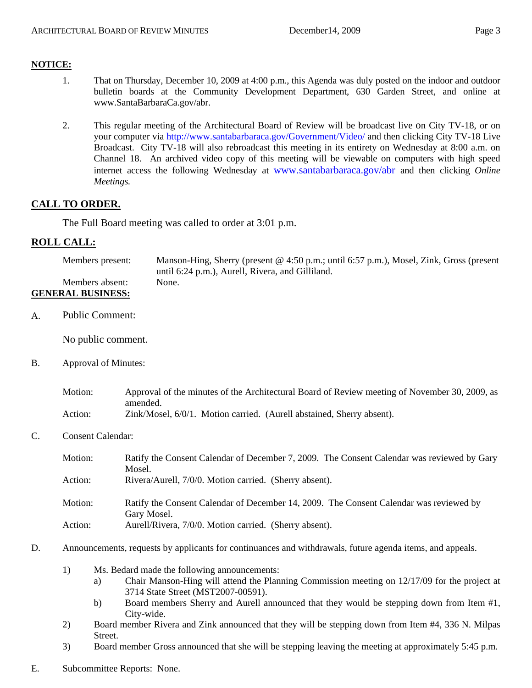#### **NOTICE:**

- 1. That on Thursday, December 10, 2009 at 4:00 p.m., this Agenda was duly posted on the indoor and outdoor bulletin boards at the Community Development Department, 630 Garden Street, and online at [www.SantaBarbaraCa.gov/abr.](http://www.santabarbaraca.gov/abr)
- 2. This regular meeting of the Architectural Board of Review will be broadcast live on City TV-18, or on your computer via <http://www.santabarbaraca.gov/Government/Video/> and then clicking City TV-18 Live Broadcast. City TV-18 will also rebroadcast this meeting in its entirety on Wednesday at 8:00 a.m. on Channel 18. An archived video copy of this meeting will be viewable on computers with high speed internet access the following Wednesday at [www.santabarbaraca.gov/abr](http://www.santabarbaraca.gov/abr) and then clicking *Online Meetings.*

## **CALL TO ORDER.**

The Full Board meeting was called to order at 3:01 p.m.

#### **ROLL CALL:**

Members present: Manson-Hing, Sherry (present @ 4:50 p.m.; until 6:57 p.m.), Mosel, Zink, Gross (present until 6:24 p.m.), Aurell, Rivera, and Gilliland. Members absent: None.

## **GENERAL BUSINESS:**

A. Public Comment:

No public comment.

B. Approval of Minutes:

| Motion: | Approval of the minutes of the Architectural Board of Review meeting of November 30, 2009, as |
|---------|-----------------------------------------------------------------------------------------------|
|         | amended.                                                                                      |
| Action: | Zink/Mosel, 6/0/1. Motion carried. (Aurell abstained, Sherry absent).                         |

C. Consent Calendar:

| Motion: | Ratify the Consent Calendar of December 7, 2009. The Consent Calendar was reviewed by Gary<br>Mosel.  |
|---------|-------------------------------------------------------------------------------------------------------|
| Action: | Rivera/Aurell, 7/0/0. Motion carried. (Sherry absent).                                                |
| Motion: | Ratify the Consent Calendar of December 14, 2009. The Consent Calendar was reviewed by<br>Gary Mosel. |
| Action: | Aurell/Rivera, 7/0/0. Motion carried. (Sherry absent).                                                |

- D. Announcements, requests by applicants for continuances and withdrawals, future agenda items, and appeals.
	- 1) Ms. Bedard made the following announcements:
		- a) Chair Manson-Hing will attend the Planning Commission meeting on 12/17/09 for the project at 3714 State Street (MST2007-00591).
		- b) Board members Sherry and Aurell announced that they would be stepping down from Item #1, City-wide.
	- 2) Board member Rivera and Zink announced that they will be stepping down from Item #4, 336 N. Milpas Street.
	- 3) Board member Gross announced that she will be stepping leaving the meeting at approximately 5:45 p.m.
- E. Subcommittee Reports: None.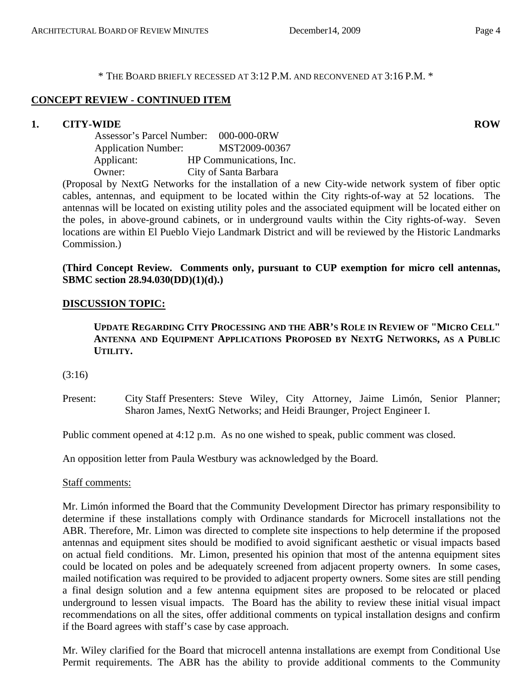\* THE BOARD BRIEFLY RECESSED AT 3:12 P.M. AND RECONVENED AT 3:16 P.M. \*

## **CONCEPT REVIEW - CONTINUED ITEM**

## **1. CITY-WIDE ROW ROW**

 Assessor's Parcel Number: 000-000-0RW Application Number: MST2009-00367 Applicant: HP Communications, Inc. Owner: City of Santa Barbara

(Proposal by NextG Networks for the installation of a new City-wide network system of fiber optic cables, antennas, and equipment to be located within the City rights-of-way at 52 locations. The antennas will be located on existing utility poles and the associated equipment will be located either on the poles, in above-ground cabinets, or in underground vaults within the City rights-of-way. Seven locations are within El Pueblo Viejo Landmark District and will be reviewed by the Historic Landmarks Commission.)

## **(Third Concept Review. Comments only, pursuant to CUP exemption for micro cell antennas, SBMC section 28.94.030(DD)(1)(d).)**

## **DISCUSSION TOPIC:**

**UPDATE REGARDING CITY PROCESSING AND THE ABR'S ROLE IN REVIEW OF "MICRO CELL" ANTENNA AND EQUIPMENT APPLICATIONS PROPOSED BY NEXTG NETWORKS, AS A PUBLIC UTILITY.** 

(3:16)

Present: City Staff Presenters: Steve Wiley, City Attorney, Jaime Limón, Senior Planner; Sharon James, NextG Networks; and Heidi Braunger, Project Engineer I.

Public comment opened at 4:12 p.m. As no one wished to speak, public comment was closed.

An opposition letter from Paula Westbury was acknowledged by the Board.

Staff comments:

Mr. Limón informed the Board that the Community Development Director has primary responsibility to determine if these installations comply with Ordinance standards for Microcell installations not the ABR. Therefore, Mr. Limon was directed to complete site inspections to help determine if the proposed antennas and equipment sites should be modified to avoid significant aesthetic or visual impacts based on actual field conditions. Mr. Limon, presented his opinion that most of the antenna equipment sites could be located on poles and be adequately screened from adjacent property owners. In some cases, mailed notification was required to be provided to adjacent property owners. Some sites are still pending a final design solution and a few antenna equipment sites are proposed to be relocated or placed underground to lessen visual impacts. The Board has the ability to review these initial visual impact recommendations on all the sites, offer additional comments on typical installation designs and confirm if the Board agrees with staff's case by case approach.

Mr. Wiley clarified for the Board that microcell antenna installations are exempt from Conditional Use Permit requirements. The ABR has the ability to provide additional comments to the Community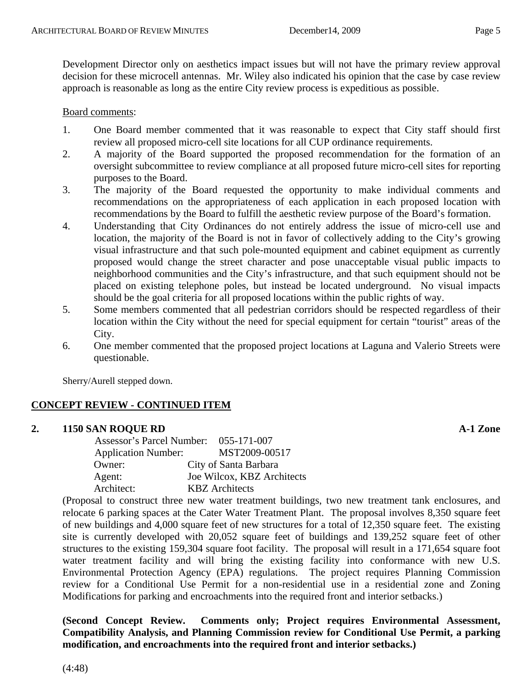Development Director only on aesthetics impact issues but will not have the primary review approval decision for these microcell antennas. Mr. Wiley also indicated his opinion that the case by case review approach is reasonable as long as the entire City review process is expeditious as possible.

#### Board comments:

- 1. One Board member commented that it was reasonable to expect that City staff should first review all proposed micro-cell site locations for all CUP ordinance requirements.
- 2. A majority of the Board supported the proposed recommendation for the formation of an oversight subcommittee to review compliance at all proposed future micro-cell sites for reporting purposes to the Board.
- 3. The majority of the Board requested the opportunity to make individual comments and recommendations on the appropriateness of each application in each proposed location with recommendations by the Board to fulfill the aesthetic review purpose of the Board's formation.
- 4. Understanding that City Ordinances do not entirely address the issue of micro-cell use and location, the majority of the Board is not in favor of collectively adding to the City's growing visual infrastructure and that such pole-mounted equipment and cabinet equipment as currently proposed would change the street character and pose unacceptable visual public impacts to neighborhood communities and the City's infrastructure, and that such equipment should not be placed on existing telephone poles, but instead be located underground. No visual impacts should be the goal criteria for all proposed locations within the public rights of way.
- 5. Some members commented that all pedestrian corridors should be respected regardless of their location within the City without the need for special equipment for certain "tourist" areas of the City.
- 6. One member commented that the proposed project locations at Laguna and Valerio Streets were questionable.

Sherry/Aurell stepped down.

## **CONCEPT REVIEW - CONTINUED ITEM**

#### **2. 1150 SAN ROQUE RD A-1 Zone**

 Assessor's Parcel Number: 055-171-007 Application Number: MST2009-00517 Owner: City of Santa Barbara Agent: Joe Wilcox, KBZ Architects Architect: KBZ Architects

(Proposal to construct three new water treatment buildings, two new treatment tank enclosures, and relocate 6 parking spaces at the Cater Water Treatment Plant. The proposal involves 8,350 square feet of new buildings and 4,000 square feet of new structures for a total of 12,350 square feet. The existing site is currently developed with 20,052 square feet of buildings and 139,252 square feet of other structures to the existing 159,304 square foot facility. The proposal will result in a 171,654 square foot water treatment facility and will bring the existing facility into conformance with new U.S. Environmental Protection Agency (EPA) regulations. The project requires Planning Commission review for a Conditional Use Permit for a non-residential use in a residential zone and Zoning Modifications for parking and encroachments into the required front and interior setbacks.)

**(Second Concept Review. Comments only; Project requires Environmental Assessment, Compatibility Analysis, and Planning Commission review for Conditional Use Permit, a parking modification, and encroachments into the required front and interior setbacks.)**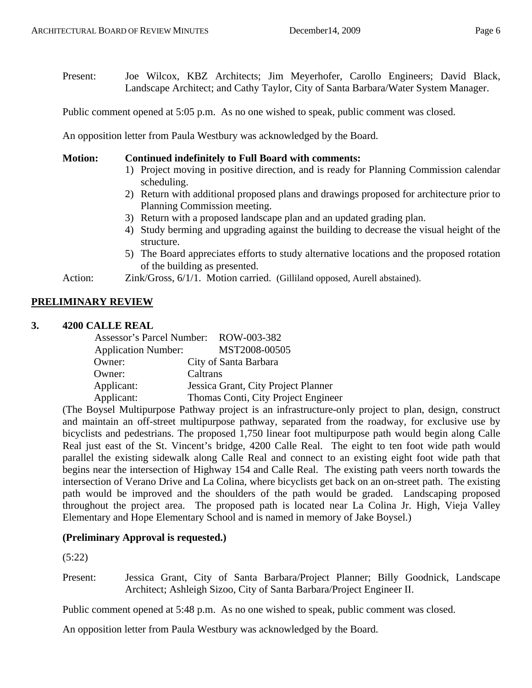Present: Joe Wilcox, KBZ Architects; Jim Meyerhofer, Carollo Engineers; David Black, Landscape Architect; and Cathy Taylor, City of Santa Barbara/Water System Manager.

Public comment opened at 5:05 p.m. As no one wished to speak, public comment was closed.

An opposition letter from Paula Westbury was acknowledged by the Board.

#### **Motion: Continued indefinitely to Full Board with comments:**

- 1) Project moving in positive direction, and is ready for Planning Commission calendar scheduling.
- 2) Return with additional proposed plans and drawings proposed for architecture prior to Planning Commission meeting.
- 3) Return with a proposed landscape plan and an updated grading plan.
- 4) Study berming and upgrading against the building to decrease the visual height of the structure.
- 5) The Board appreciates efforts to study alternative locations and the proposed rotation of the building as presented.

Action: Zink/Gross, 6/1/1. Motion carried. (Gilliland opposed, Aurell abstained).

## **PRELIMINARY REVIEW**

#### **3. 4200 CALLE REAL**

|                            | Assessor's Parcel Number: ROW-003-382 |
|----------------------------|---------------------------------------|
| <b>Application Number:</b> | MST2008-00505                         |
| Owner:                     | City of Santa Barbara                 |
| Owner:                     | Caltrans                              |
| Applicant:                 | Jessica Grant, City Project Planner   |
| Applicant:                 | Thomas Conti, City Project Engineer   |

(The Boysel Multipurpose Pathway project is an infrastructure-only project to plan, design, construct and maintain an off-street multipurpose pathway, separated from the roadway, for exclusive use by bicyclists and pedestrians. The proposed 1,750 linear foot multipurpose path would begin along Calle Real just east of the St. Vincent's bridge, 4200 Calle Real. The eight to ten foot wide path would parallel the existing sidewalk along Calle Real and connect to an existing eight foot wide path that begins near the intersection of Highway 154 and Calle Real. The existing path veers north towards the intersection of Verano Drive and La Colina, where bicyclists get back on an on-street path. The existing path would be improved and the shoulders of the path would be graded. Landscaping proposed throughout the project area. The proposed path is located near La Colina Jr. High, Vieja Valley Elementary and Hope Elementary School and is named in memory of Jake Boysel.)

#### **(Preliminary Approval is requested.)**

(5:22)

Present: Jessica Grant, City of Santa Barbara/Project Planner; Billy Goodnick, Landscape Architect; Ashleigh Sizoo, City of Santa Barbara/Project Engineer II.

Public comment opened at 5:48 p.m. As no one wished to speak, public comment was closed.

An opposition letter from Paula Westbury was acknowledged by the Board.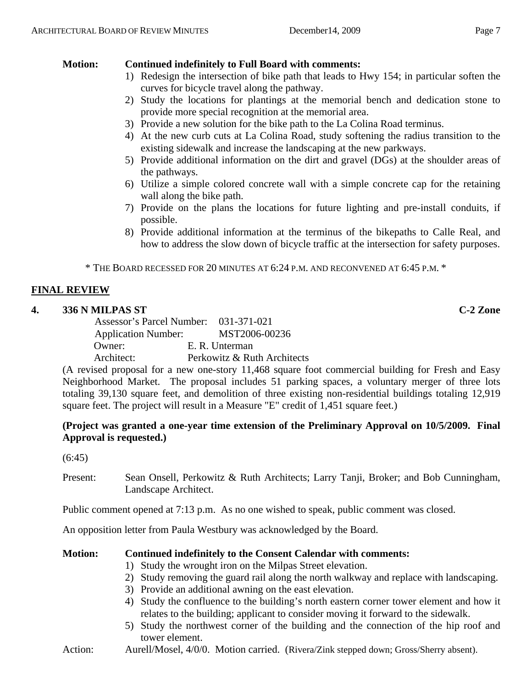## **Motion: Continued indefinitely to Full Board with comments:**

- 1) Redesign the intersection of bike path that leads to Hwy 154; in particular soften the curves for bicycle travel along the pathway.
- 2) Study the locations for plantings at the memorial bench and dedication stone to provide more special recognition at the memorial area.
- 3) Provide a new solution for the bike path to the La Colina Road terminus.
- 4) At the new curb cuts at La Colina Road, study softening the radius transition to the existing sidewalk and increase the landscaping at the new parkways.
- 5) Provide additional information on the dirt and gravel (DGs) at the shoulder areas of the pathways.
- 6) Utilize a simple colored concrete wall with a simple concrete cap for the retaining wall along the bike path.
- 7) Provide on the plans the locations for future lighting and pre-install conduits, if possible.
- 8) Provide additional information at the terminus of the bikepaths to Calle Real, and how to address the slow down of bicycle traffic at the intersection for safety purposes.

\* THE BOARD RECESSED FOR 20 MINUTES AT 6:24 P.M. AND RECONVENED AT 6:45 P.M. \*

## **FINAL REVIEW**

## **4. 336 N MILPAS ST C-2 Zone**

 Assessor's Parcel Number: 031-371-021 Application Number: MST2006-00236 Owner: E. R. Unterman Architect: Perkowitz & Ruth Architects

(A revised proposal for a new one-story 11,468 square foot commercial building for Fresh and Easy Neighborhood Market. The proposal includes 51 parking spaces, a voluntary merger of three lots totaling 39,130 square feet, and demolition of three existing non-residential buildings totaling 12,919 square feet. The project will result in a Measure "E" credit of 1,451 square feet.)

## **(Project was granted a one-year time extension of the Preliminary Approval on 10/5/2009. Final Approval is requested.)**

(6:45)

Present: Sean Onsell, Perkowitz & Ruth Architects; Larry Tanji, Broker; and Bob Cunningham, Landscape Architect.

Public comment opened at 7:13 p.m. As no one wished to speak, public comment was closed.

An opposition letter from Paula Westbury was acknowledged by the Board.

## **Motion: Continued indefinitely to the Consent Calendar with comments:**

- 1) Study the wrought iron on the Milpas Street elevation.
- 2) Study removing the guard rail along the north walkway and replace with landscaping.
- 3) Provide an additional awning on the east elevation.
- 4) Study the confluence to the building's north eastern corner tower element and how it relates to the building; applicant to consider moving it forward to the sidewalk.
- 5) Study the northwest corner of the building and the connection of the hip roof and tower element.
- Action: Aurell/Mosel, 4/0/0. Motion carried. (Rivera/Zink stepped down; Gross/Sherry absent).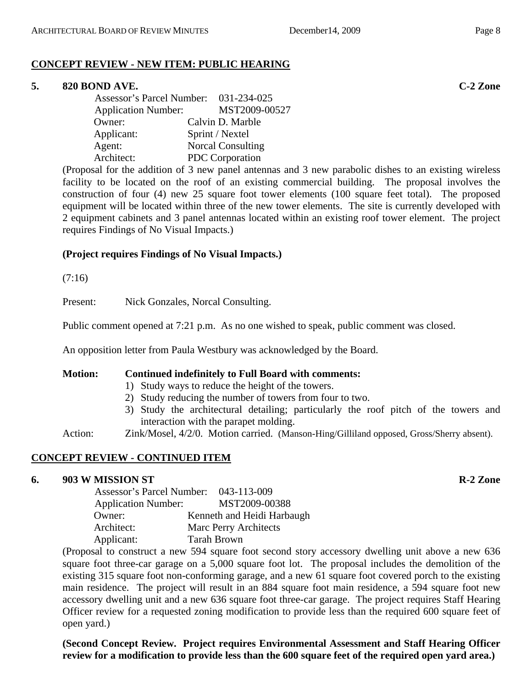## **CONCEPT REVIEW - NEW ITEM: PUBLIC HEARING**

#### **5. 820 BOND AVE. C-2 Zone**

| Assessor's Parcel Number: 031-234-025 |                          |
|---------------------------------------|--------------------------|
| <b>Application Number:</b>            | MST2009-00527            |
| Owner:                                | Calvin D. Marble         |
| Applicant:                            | Sprint / Nextel          |
| Agent:                                | <b>Norcal Consulting</b> |
| Architect:                            | PDC Corporation          |

(Proposal for the addition of 3 new panel antennas and 3 new parabolic dishes to an existing wireless facility to be located on the roof of an existing commercial building. The proposal involves the construction of four (4) new 25 square foot tower elements (100 square feet total). The proposed equipment will be located within three of the new tower elements. The site is currently developed with 2 equipment cabinets and 3 panel antennas located within an existing roof tower element. The project requires Findings of No Visual Impacts.)

#### **(Project requires Findings of No Visual Impacts.)**

(7:16)

Present: Nick Gonzales, Norcal Consulting.

Public comment opened at 7:21 p.m. As no one wished to speak, public comment was closed.

An opposition letter from Paula Westbury was acknowledged by the Board.

#### **Motion: Continued indefinitely to Full Board with comments:**

- 1) Study ways to reduce the height of the towers.
- 2) Study reducing the number of towers from four to two.
- 3) Study the architectural detailing; particularly the roof pitch of the towers and interaction with the parapet molding.
- Action: Zink/Mosel, 4/2/0. Motion carried. (Manson-Hing/Gilliland opposed, Gross/Sherry absent).

#### **CONCEPT REVIEW - CONTINUED ITEM**

#### **6. 903 W MISSION ST R-2 Zone**

| Assessor's Parcel Number: 043-113-009 |                            |
|---------------------------------------|----------------------------|
| <b>Application Number:</b>            | MST2009-00388              |
| Owner:                                | Kenneth and Heidi Harbaugh |
| Architect:                            | Marc Perry Architects      |
| Applicant:                            | <b>Tarah Brown</b>         |

(Proposal to construct a new 594 square foot second story accessory dwelling unit above a new 636 square foot three-car garage on a 5,000 square foot lot. The proposal includes the demolition of the existing 315 square foot non-conforming garage, and a new 61 square foot covered porch to the existing main residence. The project will result in an 884 square foot main residence, a 594 square foot new accessory dwelling unit and a new 636 square foot three-car garage. The project requires Staff Hearing Officer review for a requested zoning modification to provide less than the required 600 square feet of open yard.)

**(Second Concept Review. Project requires Environmental Assessment and Staff Hearing Officer review for a modification to provide less than the 600 square feet of the required open yard area.)**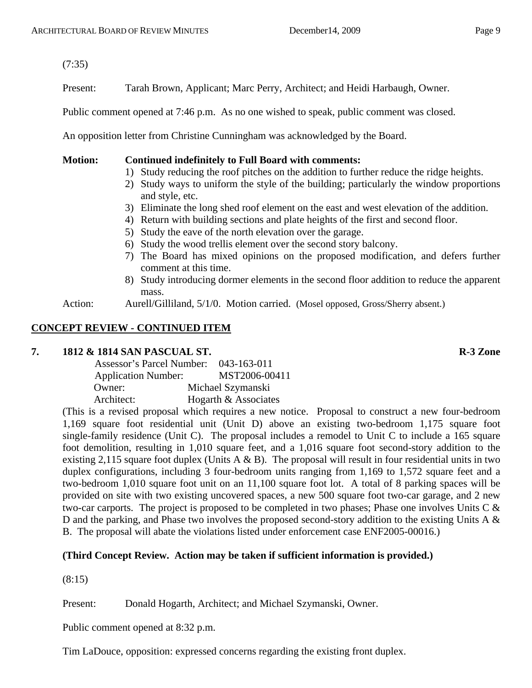(7:35)

Present: Tarah Brown, Applicant; Marc Perry, Architect; and Heidi Harbaugh, Owner.

Public comment opened at 7:46 p.m. As no one wished to speak, public comment was closed.

An opposition letter from Christine Cunningham was acknowledged by the Board.

**Motion: Continued indefinitely to Full Board with comments:** 

- 1) Study reducing the roof pitches on the addition to further reduce the ridge heights.
- 2) Study ways to uniform the style of the building; particularly the window proportions and style, etc.
- 3) Eliminate the long shed roof element on the east and west elevation of the addition.
- 4) Return with building sections and plate heights of the first and second floor.
- 5) Study the eave of the north elevation over the garage.
- 6) Study the wood trellis element over the second story balcony.
- 7) The Board has mixed opinions on the proposed modification, and defers further comment at this time.
- 8) Study introducing dormer elements in the second floor addition to reduce the apparent mass.
- Action: Aurell/Gilliland, 5/1/0. Motion carried. (Mosel opposed, Gross/Sherry absent.)

## **CONCEPT REVIEW - CONTINUED ITEM**

#### **7. 1812 & 1814 SAN PASCUAL ST. R-3 Zone**

| Assessor's Parcel Number:  | $043 - 163 - 011$    |
|----------------------------|----------------------|
| <b>Application Number:</b> | MST2006-00411        |
| Owner:                     | Michael Szymanski    |
| Architect:                 | Hogarth & Associates |

(This is a revised proposal which requires a new notice. Proposal to construct a new four-bedroom 1,169 square foot residential unit (Unit D) above an existing two-bedroom 1,175 square foot single-family residence (Unit C). The proposal includes a remodel to Unit C to include a 165 square foot demolition, resulting in 1,010 square feet, and a 1,016 square foot second-story addition to the existing 2,115 square foot duplex (Units A & B). The proposal will result in four residential units in two duplex configurations, including 3 four-bedroom units ranging from 1,169 to 1,572 square feet and a two-bedroom 1,010 square foot unit on an 11,100 square foot lot. A total of 8 parking spaces will be provided on site with two existing uncovered spaces, a new 500 square foot two-car garage, and 2 new two-car carports. The project is proposed to be completed in two phases; Phase one involves Units C & D and the parking, and Phase two involves the proposed second-story addition to the existing Units A & B. The proposal will abate the violations listed under enforcement case ENF2005-00016.)

## **(Third Concept Review. Action may be taken if sufficient information is provided.)**

(8:15)

Present: Donald Hogarth, Architect; and Michael Szymanski, Owner.

Public comment opened at 8:32 p.m.

Tim LaDouce, opposition: expressed concerns regarding the existing front duplex.